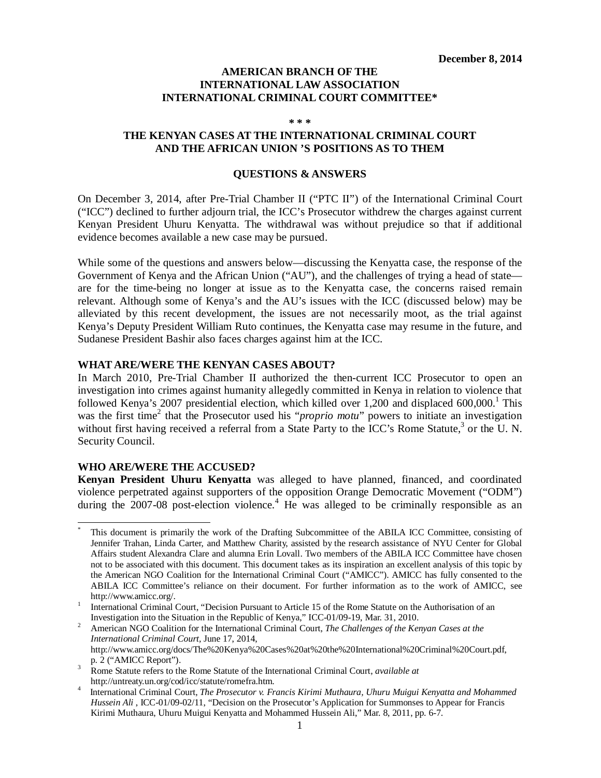### **AMERICAN BRANCH OF THE INTERNATIONAL LAW ASSOCIATION INTERNATIONAL CRIMINAL COURT COMMITTEE\***

**\* \* \***

### **THE KENYAN CASES AT THE INTERNATIONAL CRIMINAL COURT AND THE AFRICAN UNION 'S POSITIONS AS TO THEM**

#### **QUESTIONS & ANSWERS**

On December 3, 2014, after Pre-Trial Chamber II ("PTC II") of the International Criminal Court ("ICC") declined to further adjourn trial, the ICC's Prosecutor withdrew the charges against current Kenyan President Uhuru Kenyatta. The withdrawal was without prejudice so that if additional evidence becomes available a new case may be pursued.

While some of the questions and answers below—discussing the Kenyatta case, the response of the Government of Kenya and the African Union ("AU"), and the challenges of trying a head of state are for the time-being no longer at issue as to the Kenyatta case, the concerns raised remain relevant. Although some of Kenya's and the AU's issues with the ICC (discussed below) may be alleviated by this recent development, the issues are not necessarily moot, as the trial against Kenya's Deputy President William Ruto continues, the Kenyatta case may resume in the future, and Sudanese President Bashir also faces charges against him at the ICC.

### **WHAT ARE/WERE THE KENYAN CASES ABOUT?**

In March 2010, Pre-Trial Chamber II authorized the then-current ICC Prosecutor to open an investigation into crimes against humanity allegedly committed in Kenya in relation to violence that followed Kenya's 2007 presidential election, which killed over 1,200 and displaced 600,000.<sup>1</sup> This was the first time<sup>2</sup> that the Prosecutor used his "*proprio motu*" powers to initiate an investigation without first having received a referral from a State Party to the ICC's Rome Statute,<sup>3</sup> or the U.N. Security Council.

### **WHO ARE/WERE THE ACCUSED?**

**Kenyan President Uhuru Kenyatta** was alleged to have planned, financed, and coordinated violence perpetrated against supporters of the opposition Orange Democratic Movement ("ODM") during the  $2007-08$  post-election violence.<sup>4</sup> He was alleged to be criminally responsible as an

<sup>2</sup> American NGO Coalition for the International Criminal Court, *The Challenges of the Kenyan Cases at the International Criminal Court,* June 17, 2014, http://www.amicc.org/docs/The%20Kenya%20Cases%20at%20the%20International%20Criminal%20Court.pdf, p. 2 ("AMICC Report").

 $\ddot{\phantom{a}}$ This document is primarily the work of the Drafting Subcommittee of the ABILA ICC Committee, consisting of Jennifer Trahan, Linda Carter, and Matthew Charity, assisted by the research assistance of NYU Center for Global Affairs student Alexandra Clare and alumna Erin Lovall. Two members of the ABILA ICC Committee have chosen not to be associated with this document. This document takes as its inspiration an excellent analysis of this topic by the American NGO Coalition for the International Criminal Court ("AMICC"). AMICC has fully consented to the ABILA ICC Committee's reliance on their document. For further information as to the work of AMICC, see http://www.amicc.org/.

<sup>1</sup> International Criminal Court, "Decision Pursuant to Article 15 of the Rome Statute on the Authorisation of an Investigation into the Situation in the Republic of Kenya," ICC-01/09-19, Mar. 31, 2010.

<sup>3</sup> Rome Statute refers to the Rome Statute of the International Criminal Court, *available at*  http://untreaty.un.org/cod/icc/statute/romefra.htm.

<sup>4</sup> International Criminal Court, *The Prosecutor v. Francis Kirimi Muthaura, Uhuru Muigui Kenyatta and Mohammed Hussein Ali* , ICC-01/09-02/11, "Decision on the Prosecutor's Application for Summonses to Appear for Francis Kirimi Muthaura, Uhuru Muigui Kenyatta and Mohammed Hussein Ali," Mar. 8, 2011, pp. 6-7.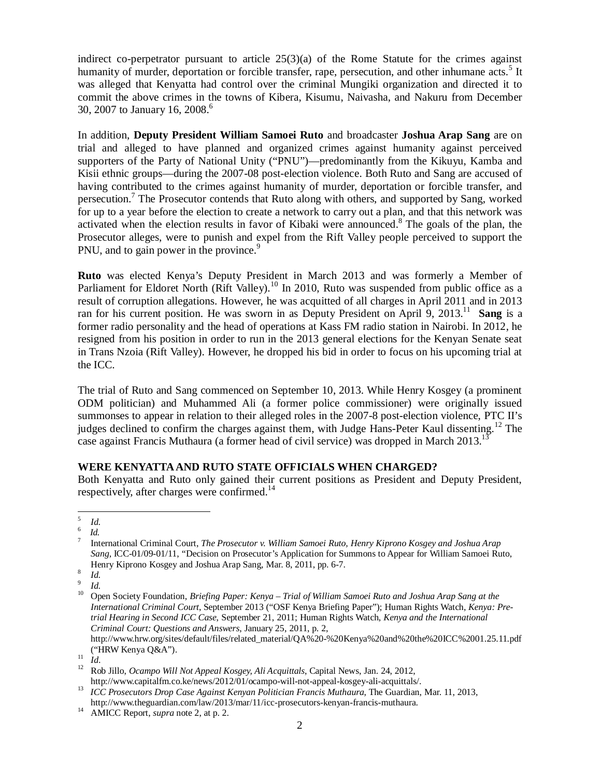indirect co-perpetrator pursuant to article  $25(3)(a)$  of the Rome Statute for the crimes against humanity of murder, deportation or forcible transfer, rape, persecution, and other inhumane acts.<sup>5</sup> It was alleged that Kenyatta had control over the criminal Mungiki organization and directed it to commit the above crimes in the towns of Kibera, Kisumu, Naivasha, and Nakuru from December 30, 2007 to January 16, 2008.<sup>6</sup>

In addition, **Deputy President William Samoei Ruto** and broadcaster **Joshua Arap Sang** are on trial and alleged to have planned and organized crimes against humanity against perceived supporters of the Party of National Unity ("PNU")—predominantly from the Kikuyu, Kamba and Kisii ethnic groups—during the 2007-08 post-election violence. Both Ruto and Sang are accused of having contributed to the crimes against humanity of murder, deportation or forcible transfer, and persecution.<sup>7</sup> The Prosecutor contends that Ruto along with others, and supported by Sang, worked for up to a year before the election to create a network to carry out a plan, and that this network was activated when the election results in favor of Kibaki were announced.<sup>8</sup> The goals of the plan, the Prosecutor alleges, were to punish and expel from the Rift Valley people perceived to support the PNU, and to gain power in the province.<sup>9</sup>

**Ruto** was elected Kenya's Deputy President in March 2013 and was formerly a Member of Parliament for Eldoret North (Rift Valley).<sup>10</sup> In 2010, Ruto was suspended from public office as a result of corruption allegations. However, he was acquitted of all charges in April 2011 and in 2013 ran for his current position. He was sworn in as Deputy President on April 9, 2013.<sup>11</sup> Sang is a former radio personality and the head of operations at Kass FM radio station in Nairobi. In 2012, he resigned from his position in order to run in the 2013 general elections for the Kenyan Senate seat in Trans Nzoia (Rift Valley). However, he dropped his bid in order to focus on his upcoming trial at the ICC.

The trial of Ruto and Sang commenced on September 10, 2013. While Henry Kosgey (a prominent ODM politician) and Muhammed Ali (a former police commissioner) were originally issued summonses to appear in relation to their alleged roles in the 2007-8 post-election violence, PTC II's judges declined to confirm the charges against them, with Judge Hans-Peter Kaul dissenting.<sup>12</sup> The case against Francis Muthaura (a former head of civil service) was dropped in March 2013.<sup>13</sup>

# **WERE KENYATTA AND RUTO STATE OFFICIALS WHEN CHARGED?**

Both Kenyatta and Ruto only gained their current positions as President and Deputy President, respectively, after charges were confirmed.<sup>14</sup>

http://www.hrw.org/sites/default/files/related\_material/QA%20-%20Kenya%20and%20the%20ICC%2001.25.11.pdf ("HRW Kenya Q&A").

 5 *Id.* 6

*Id.* 7

International Criminal Court, *The Prosecutor v. William Samoei Ruto, Henry Kiprono Kosgey and Joshua Arap Sang*, ICC-01/09-01/11, "Decision on Prosecutor's Application for Summons to Appear for William Samoei Ruto, Henry Kiprono Kosgey and Joshua Arap Sang, Mar. 8, 2011, pp. 6-7.

<sup>8</sup> *Id.*

<sup>9</sup> *Id.*

<sup>10</sup> Open Society Foundation, *Briefing Paper: Kenya – Trial of William Samoei Ruto and Joshua Arap Sang at the International Criminal Court*, September 2013 ("OSF Kenya Briefing Paper"); Human Rights Watch, *Kenya: Pretrial Hearing in Second ICC Case*, September 21, 2011; Human Rights Watch, *Kenya and the International Criminal Court: Questions and Answers*, January 25, 2011, p. 2,

 $\frac{11}{12}$  *Id.* 

<sup>12</sup> Rob Jillo, *Ocampo Will Not Appeal Kosgey, Ali Acquittals*, Capital News, Jan. 24, 2012, http://www.capitalfm.co.ke/news/2012/01/ocampo-will-not-appeal-kosgey-ali-acquittals/.

<sup>&</sup>lt;sup>13</sup> *ICC Prosecutors Drop Case Against Kenyan Politician Francis Muthaura*, The Guardian, Mar. 11, 2013, http://www.theguardian.com/law/2013/mar/11/icc-prosecutors-kenyan-francis-muthaura.

<sup>14</sup> AMICC Report, *supra* note 2, at p. 2.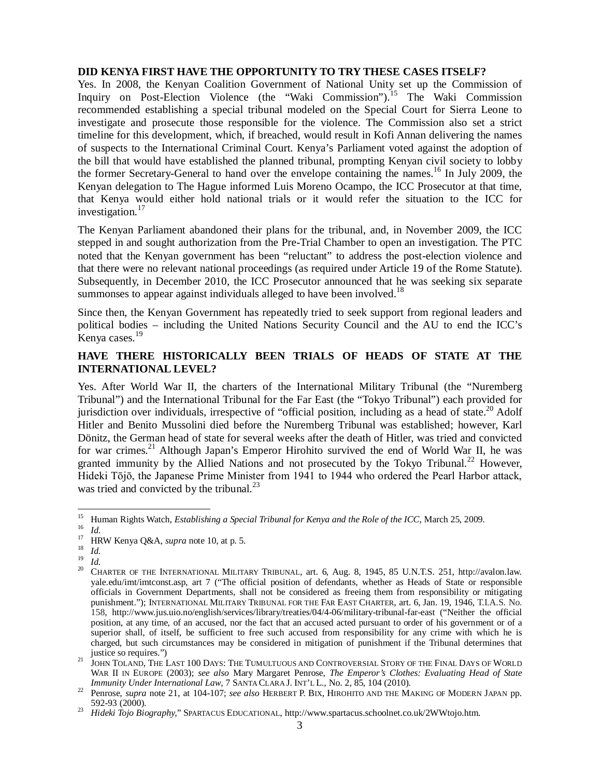#### **DID KENYA FIRST HAVE THE OPPORTUNITY TO TRY THESE CASES ITSELF?**

Yes. In 2008, the Kenyan Coalition Government of National Unity set up the Commission of Inquiry on Post-Election Violence (the "Waki Commission").<sup>15</sup> The Waki Commission recommended establishing a special tribunal modeled on the Special Court for Sierra Leone to investigate and prosecute those responsible for the violence. The Commission also set a strict timeline for this development, which, if breached, would result in Kofi Annan delivering the names of suspects to the International Criminal Court. Kenya's Parliament voted against the adoption of the bill that would have established the planned tribunal, prompting Kenyan civil society to lobby the former Secretary-General to hand over the envelope containing the names. <sup>16</sup> In July 2009, the Kenyan delegation to The Hague informed Luis Moreno Ocampo, the ICC Prosecutor at that time, that Kenya would either hold national trials or it would refer the situation to the ICC for investigation. 17

The Kenyan Parliament abandoned their plans for the tribunal, and, in November 2009, the ICC stepped in and sought authorization from the Pre-Trial Chamber to open an investigation. The PTC noted that the Kenyan government has been "reluctant" to address the post-election violence and that there were no relevant national proceedings (as required under Article 19 of the Rome Statute). Subsequently, in December 2010, the ICC Prosecutor announced that he was seeking six separate summonses to appear against individuals alleged to have been involved.<sup>18</sup>

Since then, the Kenyan Government has repeatedly tried to seek support from regional leaders and political bodies – including the United Nations Security Council and the AU to end the ICC's .<br>Kenya cases.<sup>19</sup>

## **HAVE THERE HISTORICALLY BEEN TRIALS OF HEADS OF STATE AT THE INTERNATIONAL LEVEL?**

Yes. After World War II, the charters of the International Military Tribunal (the "Nuremberg Tribunal") and the International Tribunal for the Far East (the "Tokyo Tribunal") each provided for jurisdiction over individuals, irrespective of "official position, including as a head of state.<sup>20</sup> Adolf Hitler and Benito Mussolini died before the Nuremberg Tribunal was established; however, Karl Dönitz, the German head of state for several weeks after the death of Hitler, was tried and convicted for war crimes.<sup>21</sup> Although Japan's Emperor Hirohito survived the end of World War II, he was granted immunity by the Allied Nations and not prosecuted by the Tokyo Tribunal.<sup>22</sup> However, Hideki Tōjō, the Japanese Prime Minister from 1941 to 1944 who ordered the Pearl Harbor attack, was tried and convicted by the tribunal. $^{23}$ 

<sup>15</sup> <sup>15</sup> Human Rights Watch, *Establishing a Special Tribunal for Kenya and the Role of the ICC*, March 25, 2009.

 $\frac{16}{17}$  *Id.* 

<sup>17</sup> HRW Kenya Q&A, *supra* note 10, at p. 5.

 $\frac{18}{19}$  *Id.* 

 $\frac{19}{20}$  *Id.* 

<sup>20</sup> CHARTER OF THE INTERNATIONAL MILITARY TRIBUNAL, art. 6, Aug. 8, 1945, 85 U.N.T.S. 251, http://avalon.law. yale.edu/imt/imtconst.asp, art 7 ("The official position of defendants, whether as Heads of State or responsible officials in Government Departments, shall not be considered as freeing them from responsibility or mitigating punishment."); INTERNATIONAL MILITARY TRIBUNAL FOR THE FAR EAST CHARTER, art. 6, Jan. 19, 1946, T.I.A.S. No. 158, http://www.jus.uio.no/english/services/library/treaties/04/4-06/military-tribunal-far-east ("Neither the official position, at any time, of an accused, nor the fact that an accused acted pursuant to order of his government or of a superior shall, of itself, be sufficient to free such accused from responsibility for any crime with which he is charged, but such circumstances may be considered in mitigation of punishment if the Tribunal determines that justice so requires.")

<sup>&</sup>lt;sup>21</sup> JOHN TOLAND, THE LAST 100 DAYS: THE TUMULTUOUS AND CONTROVERSIAL STORY OF THE FINAL DAYS OF WORLD WAR II IN EUROPE (2003); *see also* Mary Margaret Penrose, *The Emperor's Clothes: Evaluating Head of State Immunity Under International Law*, 7 SANTA CLARA J. INT'L L., No. 2, 85, 104 (2010).

<sup>&</sup>lt;sup>22</sup> Penrose, *supra* note 21, at 104-107; *see also* HERBERT P. BIX, HIROHITO AND THE MAKING OF MODERN JAPAN pp. 592-93 (2000).

<sup>23</sup> *Hideki Tojo Biography,*" SPARTACUS EDUCATIONAL, http://www.spartacus.schoolnet.co.uk/2WWtojo.htm.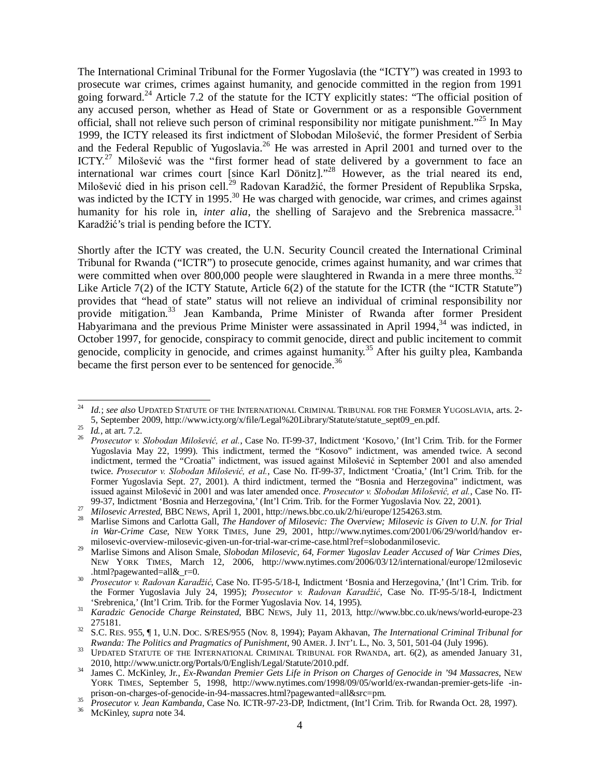The International Criminal Tribunal for the Former Yugoslavia (the "ICTY") was created in 1993 to prosecute war crimes, crimes against humanity, and genocide committed in the region from 1991 going forward.<sup>24</sup> Article 7.2 of the statute for the ICTY explicitly states: "The official position of any accused person, whether as Head of State or Government or as a responsible Government official, shall not relieve such person of criminal responsibility nor mitigate punishment."<sup>25</sup> In May 1999, the ICTY released its first indictment of Slobodan Milošević, the former President of Serbia and the Federal Republic of Yugoslavia.<sup>26</sup> He was arrested in April 2001 and turned over to the ICTY.<sup>27</sup> Milošević was the "first former head of state delivered by a government to face an international war crimes court [since Karl Dönitz]."<sup>28</sup> However, as the trial neared its end, Milošević died in his prison cell.<sup>29</sup> Radovan Karadžić, the former President of Republika Srpska, was indicted by the ICTY in 1995.<sup>30</sup> He was charged with genocide, war crimes, and crimes against humanity for his role in, *inter alia*, the shelling of Sarajevo and the Srebrenica massacre.<sup>31</sup> Karadžić's trial is pending before the ICTY.

Shortly after the ICTY was created, the U.N. Security Council created the International Criminal Tribunal for Rwanda ("ICTR") to prosecute genocide, crimes against humanity, and war crimes that were committed when over 800,000 people were slaughtered in Rwanda in a mere three months.<sup>32</sup> Like Article 7(2) of the ICTY Statute, Article 6(2) of the statute for the ICTR (the "ICTR Statute") provides that "head of state" status will not relieve an individual of criminal responsibility nor provide mitigation.<sup>33</sup> Jean Kambanda, Prime Minister of Rwanda after former President Habyarimana and the previous Prime Minister were assassinated in April 1994,<sup>34</sup> was indicted, in October 1997, for genocide, conspiracy to commit genocide, direct and public incitement to commit genocide, complicity in genocide, and crimes against humanity.<sup>35</sup> After his guilty plea, Kambanda became the first person ever to be sentenced for genocide.<sup>36</sup>

 $24$ <sup>24</sup> *Id.*; *see also* UPDATED STATUTE OF THE INTERNATIONAL CRIMINAL TRIBUNAL FOR THE FORMER YUGOSLAVIA, arts. 2- 5, September 2009, http://www.icty.org/x/file/Legal%20Library/Statute/statute\_sept09\_en.pdf.

<sup>25</sup> *Id.,* at art. 7.2.

<sup>26</sup> *Prosecutor v. Slobodan Milošević, et al.*, Case No. IT-99-37, Indictment 'Kosovo,' (Int'l Crim. Trib. for the Former Yugoslavia May 22, 1999). This indictment, termed the "Kosovo" indictment, was amended twice. A second indictment, termed the "Croatia" indictment, was issued against Milošević in September 2001 and also amended twice. *Prosecutor v. Slobodan Milošević, et al.*, Case No. IT-99-37, Indictment 'Croatia,' (Int'l Crim. Trib. for the Former Yugoslavia Sept. 27, 2001). A third indictment, termed the "Bosnia and Herzegovina" indictment, was issued against Milošević in 2001 and was later amended once. *Prosecutor v. Slobodan Milošević, et al.*, Case No. IT-99-37, Indictment 'Bosnia and Herzegovina,' (Int'l Crim. Trib. for the Former Yugoslavia Nov. 22, 2001).

<sup>27</sup> *Milosevic Arrested*, BBC NEWS, April 1, 2001, http://news.bbc.co.uk/2/hi/europe/1254263.stm.

<sup>28</sup> Marlise Simons and Carlotta Gall, *The Handover of Milosevic: The Overview; Milosevic is Given to U.N. for Trial in War-Crime Case*, NEW YORK TIMES, June 29, 2001, http://www.nytimes.com/2001/06/29/world/handov ermilosevic-overview-milosevic-given-un-for-trial-war-crime-case.html?ref=slobodanmilosevic.

<sup>&</sup>lt;sup>29</sup> Marlise Simons and Alison Smale, *Slobodan Milosevic, 64, Former Yugoslav Leader Accused of War Crimes Dies*, NEW YORK TIMES, March 12, 2006, http://www.nytimes.com/2006/03/12/international/europe/12milosevic .html?pagewanted=all&\_r=0.

<sup>30</sup> *Prosecutor v. Radovan Karadžić*, Case No. IT-95-5/18-I, Indictment 'Bosnia and Herzegovina,' (Int'l Crim. Trib. for the Former Yugoslavia July 24, 1995); *Prosecutor v. Radovan Karadžić*, Case No. IT-95-5/18-I, Indictment 'Srebrenica,' (Int'l Crim. Trib. for the Former Yugoslavia Nov. 14, 1995).

<sup>31</sup> *Karadzic Genocide Charge Reinstated*, BBC NEWS, July 11, 2013, http://www.bbc.co.uk/news/world-europe-23 275181.

<sup>32</sup> S.C. RES. 955, ¶ 1, U.N. DOC. S/RES/955 (Nov. 8, 1994); Payam Akhavan, *The International Criminal Tribunal for Rwanda: The Politics and Pragmatics of Punishment*, 90 AMER. J. INT'L L., No. 3, 501, 501-04 (July 1996).

<sup>&</sup>lt;sup>33</sup> UPDATED STATUTE OF THE INTERNATIONAL CRIMINAL TRIBUNAL FOR RWANDA, art. 6(2), as amended January 31, 2010, http://www.unictr.org/Portals/0/English/Legal/Statute/2010.pdf.

<sup>34</sup> James C. McKinley, Jr., *Ex-Rwandan Premier Gets Life in Prison on Charges of Genocide in '94 Massacres*, NEW YORK TIMES, September 5, 1998, http://www.nytimes.com/1998/09/05/world/ex-rwandan-premier-gets-life -inprison-on-charges-of-genocide-in-94-massacres.html?pagewanted=all&src=pm.

<sup>&</sup>lt;sup>35</sup> *Prosecutor v. Jean Kambanda*, Case No. ICTR-97-23-DP, Indictment, (Int'l Crim. Trib. for Rwanda Oct. 28, 1997).

<sup>36</sup> McKinley, *supra* note 34.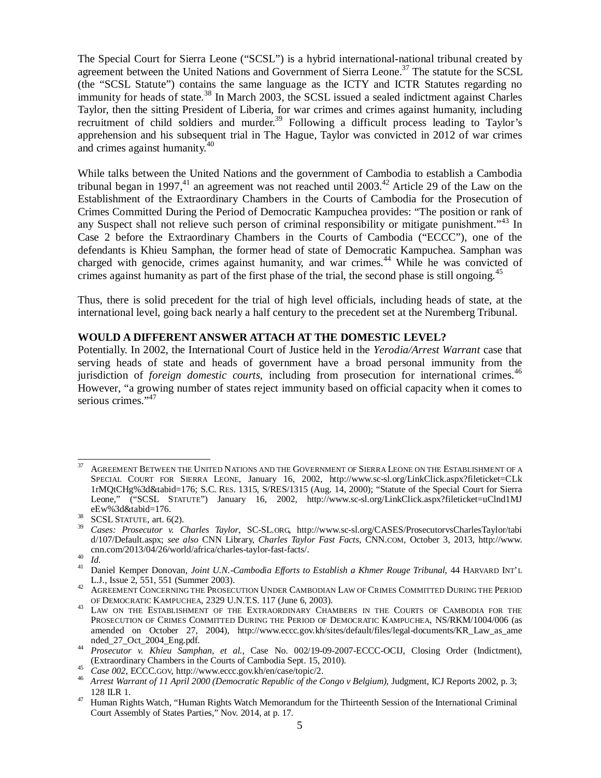The Special Court for Sierra Leone ("SCSL") is a hybrid international-national tribunal created by agreement between the United Nations and Government of Sierra Leone.<sup>37</sup> The statute for the SCSL (the "SCSL Statute") contains the same language as the ICTY and ICTR Statutes regarding no immunity for heads of state.<sup>38</sup> In March 2003, the SCSL issued a sealed indictment against Charles Taylor, then the sitting President of Liberia, for war crimes and crimes against humanity, including recruitment of child soldiers and murder.<sup>39</sup> Following a difficult process leading to Taylor's apprehension and his subsequent trial in The Hague, Taylor was convicted in 2012 of war crimes and crimes against humanity.<sup>40</sup>

While talks between the United Nations and the government of Cambodia to establish a Cambodia tribunal began in 1997,<sup>41</sup> an agreement was not reached until 2003.<sup>42</sup> Article 29 of the Law on the Establishment of the Extraordinary Chambers in the Courts of Cambodia for the Prosecution of Crimes Committed During the Period of Democratic Kampuchea provides: "The position or rank of any Suspect shall not relieve such person of criminal responsibility or mitigate punishment."<sup>43</sup> In Case 2 before the Extraordinary Chambers in the Courts of Cambodia ("ECCC"), one of the defendants is Khieu Samphan, the former head of state of Democratic Kampuchea. Samphan was charged with genocide, crimes against humanity, and war crimes.<sup>44</sup> While he was convicted of crimes against humanity as part of the first phase of the trial, the second phase is still ongoing.<sup>45</sup>

Thus, there is solid precedent for the trial of high level officials, including heads of state, at the international level, going back nearly a half century to the precedent set at the Nuremberg Tribunal.

### **WOULD A DIFFERENT ANSWER ATTACH AT THE DOMESTIC LEVEL?**

Potentially. In 2002, the International Court of Justice held in the *Yerodia/Arrest Warrant* case that serving heads of state and heads of government have a broad personal immunity from the jurisdiction of *foreign domestic courts*, including from prosecution for international crimes.<sup>46</sup> However, "a growing number of states reject immunity based on official capacity when it comes to serious crimes."<sup>47</sup>

 $37$ AGREEMENT BETWEEN THE UNITED NATIONS AND THE GOVERNMENT OF SIERRA LEONE ON THE ESTABLISHMENT OF A SPECIAL COURT FOR SIERRA LEONE, January 16, 2002, http://www.sc-sl.org/LinkClick.aspx?fileticket=CLk 1rMQtCHg%3d&tabid=176; S.C. RES. 1315, S/RES/1315 (Aug. 14, 2000); "Statute of the Special Court for Sierra Leone," ("SCSL STATUTE") January 16, 2002, http://www.sc-sl.org/LinkClick.aspx?fileticket=uClnd1MJ eEw%3d&tabid=176.

 $38$  SCSL STATUTE, art. 6(2).

<sup>39</sup> *Cases: Prosecutor v. Charles Taylor*, SC-SL.ORG, http://www.sc-sl.org/CASES/ProsecutorvsCharlesTaylor/tabi d/107/Default.aspx; *see also* CNN Library, *Charles Taylor Fast Facts*, CNN.COM, October 3, 2013, http://www. cnn.com/2013/04/26/world/africa/charles-taylor-fast-facts/.

 $^{40}$  *Id.*<br> $^{41}$  P

<sup>41</sup> Daniel Kemper Donovan, *Joint U.N.-Cambodia Efforts to Establish a Khmer Rouge Tribunal*, 44 HARVARD INT'<sup>L</sup> L.J., Issue 2, 551, 551 (Summer 2003).

<sup>42</sup> AGREEMENT CONCERNING THE PROSECUTION UNDER CAMBODIAN LAW OF CRIMES COMMITTED DURING THE PERIOD OF DEMOCRATIC KAMPUCHEA, 2329 U.N.T.S. 117 (June 6, 2003).

<sup>43</sup> LAW ON THE ESTABLISHMENT OF THE EXTRAORDINARY CHAMBERS IN THE COURTS OF CAMBODIA FOR THE PROSECUTION OF CRIMES COMMITTED DURING THE PERIOD OF DEMOCRATIC KAMPUCHEA, NS/RKM/1004/006 (as amended on October 27, 2004), http://www.eccc.gov.kh/sites/default/files/legal-documents/KR\_Law\_as\_ame nded\_27\_Oct\_2004\_Eng.pdf.

<sup>44</sup> *Prosecutor v. Khieu Samphan, et al.*, Case No. 002/19-09-2007-ECCC-OCIJ, Closing Order (Indictment), (Extraordinary Chambers in the Courts of Cambodia Sept. 15, 2010).

<sup>45</sup> *Case 002*, ECCC.GOV, http://www.eccc.gov.kh/en/case/topic/2.

<sup>46</sup> *Arrest Warrant of 11 April 2000 (Democratic Republic of the Congo v Belgium)*, Judgment, ICJ Reports 2002, p. 3; 128 ILR 1.

<sup>47</sup> Human Rights Watch, "Human Rights Watch Memorandum for the Thirteenth Session of the International Criminal Court Assembly of States Parties," Nov. 2014, at p. 17.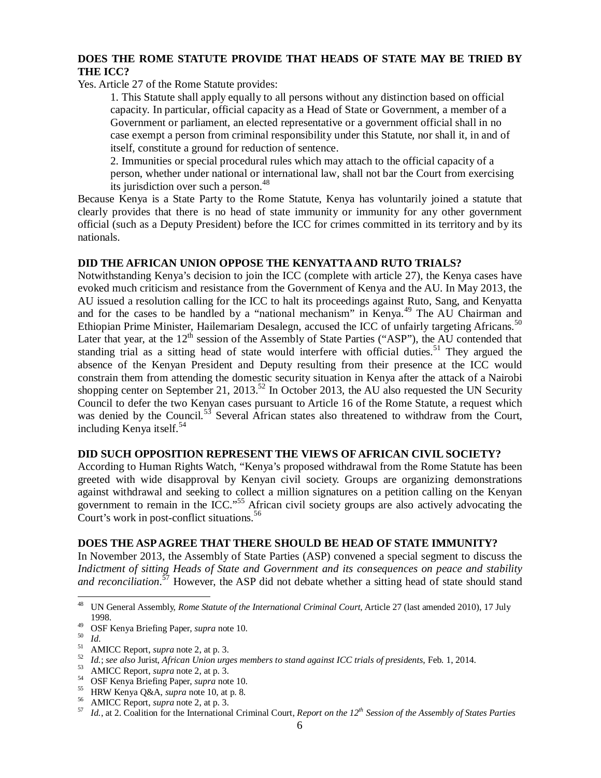# **DOES THE ROME STATUTE PROVIDE THAT HEADS OF STATE MAY BE TRIED BY THE ICC?**

Yes. Article 27 of the Rome Statute provides:

1. This Statute shall apply equally to all persons without any distinction based on official capacity. In particular, official capacity as a Head of State or Government, a member of a Government or parliament, an elected representative or a government official shall in no case exempt a person from criminal responsibility under this Statute, nor shall it, in and of itself, constitute a ground for reduction of sentence.

2. Immunities or special procedural rules which may attach to the official capacity of a person, whether under national or international law, shall not bar the Court from exercising its jurisdiction over such a person.<sup>48</sup>

Because Kenya is a State Party to the Rome Statute, Kenya has voluntarily joined a statute that clearly provides that there is no head of state immunity or immunity for any other government official (such as a Deputy President) before the ICC for crimes committed in its territory and by its nationals.

### **DID THE AFRICAN UNION OPPOSE THE KENYATTA AND RUTO TRIALS?**

Notwithstanding Kenya's decision to join the ICC (complete with article 27), the Kenya cases have evoked much criticism and resistance from the Government of Kenya and the AU. In May 2013, the AU issued a resolution calling for the ICC to halt its proceedings against Ruto, Sang, and Kenyatta and for the cases to be handled by a "national mechanism" in Kenya.<sup>49</sup> The AU Chairman and Ethiopian Prime Minister, Hailemariam Desalegn, accused the ICC of unfairly targeting Africans.<sup>50</sup> Later that year, at the  $12<sup>th</sup>$  session of the Assembly of State Parties ("ASP"), the AU contended that standing trial as a sitting head of state would interfere with official duties.<sup>51</sup> They argued the absence of the Kenyan President and Deputy resulting from their presence at the ICC would constrain them from attending the domestic security situation in Kenya after the attack of a Nairobi shopping center on September 21, 2013.<sup>52</sup> In October 2013, the AU also requested the UN Security Council to defer the two Kenyan cases pursuant to Article 16 of the Rome Statute, a request which was denied by the Council.<sup>53</sup> Several African states also threatened to withdraw from the Court, including Kenya itself.<sup>54</sup>

### **DID SUCH OPPOSITION REPRESENT THE VIEWS OF AFRICAN CIVIL SOCIETY?**

According to Human Rights Watch, "Kenya's proposed withdrawal from the Rome Statute has been greeted with wide disapproval by Kenyan civil society. Groups are organizing demonstrations against withdrawal and seeking to collect a million signatures on a petition calling on the Kenyan government to remain in the ICC."<sup>55</sup> African civil society groups are also actively advocating the Court's work in post-conflict situations.<sup>56</sup>

### **DOES THE ASP AGREE THAT THERE SHOULD BE HEAD OF STATE IMMUNITY?**

In November 2013, the Assembly of State Parties (ASP) convened a special segment to discuss the *Indictment of sitting Heads of State and Government and its consequences on peace and stability and reconciliation.*<sup>57</sup> However, the ASP did not debate whether a sitting head of state should stand

 $48\,$ <sup>48</sup> UN General Assembly, *Rome Statute of the International Criminal Court*, Article 27 (last amended 2010), 17 July 1998.

<sup>49</sup> OSF Kenya Briefing Paper, *supra* note 10.

 $\frac{50}{51}$  *Id.* 

 $^{51}$  AMICC Report, *supra* note 2, at p. 3.

<sup>&</sup>lt;sup>52</sup> *Id.*; *see also* Jurist, *African Union urges members to stand against ICC trials of presidents*, Feb. 1, 2014.<br><sup>53</sup> AMICC Report *supra* note 2, at p. 3.

 $^{53}$  AMICC Report, *supra* note 2, at p. 3.<br> $^{54}$  OSE Kenya Briefing Paper, *supra* not

<sup>&</sup>lt;sup>54</sup> OSF Kenya Briefing Paper, *supra* note 10.<br><sup>55</sup> HRW Kenya O&A, *supra* note 10 at p 8.

<sup>&</sup>lt;sup>55</sup> HRW Kenya Q&A, *supra* note 10, at p. 8.<br><sup>56</sup> AMICC Report *supra* note 2 at p. 3

 $^{56}$  AMICC Report, *supra* note 2, at p. 3.<br> $^{57}$  *L*, at 2. Coolition for the International

<sup>57</sup> *Id.*, at 2. Coalition for the International Criminal Court, *Report on the 12th Session of the Assembly of States Parties*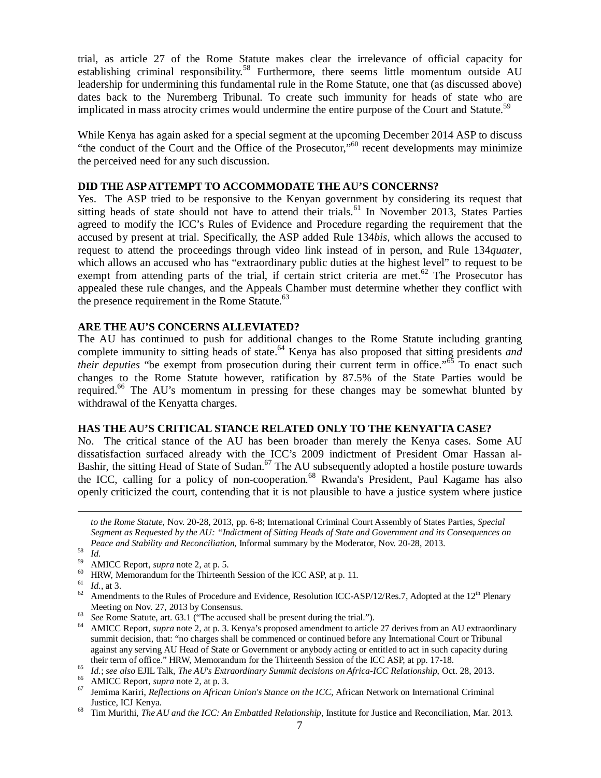trial, as article 27 of the Rome Statute makes clear the irrelevance of official capacity for establishing criminal responsibility.<sup>58</sup> Furthermore, there seems little momentum outside AU leadership for undermining this fundamental rule in the Rome Statute, one that (as discussed above) dates back to the Nuremberg Tribunal. To create such immunity for heads of state who are implicated in mass atrocity crimes would undermine the entire purpose of the Court and Statute.<sup>59</sup>

While Kenya has again asked for a special segment at the upcoming December 2014 ASP to discuss "the conduct of the Court and the Office of the Prosecutor,"<sup>60</sup> recent developments may minimize the perceived need for any such discussion.

#### **DID THE ASP ATTEMPT TO ACCOMMODATE THE AU'S CONCERNS?**

Yes. The ASP tried to be responsive to the Kenyan government by considering its request that sitting heads of state should not have to attend their trials.<sup>61</sup> In November 2013, States Parties agreed to modify the ICC's Rules of Evidence and Procedure regarding the requirement that the accused by present at trial. Specifically, the ASP added Rule 134*bis,* which allows the accused to request to attend the proceedings through video link instead of in person, and Rule 134*quater*, which allows an accused who has "extraordinary public duties at the highest level" to request to be exempt from attending parts of the trial, if certain strict criteria are met.<sup>62</sup> The Prosecutor has appealed these rule changes, and the Appeals Chamber must determine whether they conflict with the presence requirement in the Rome Statute. $63$ 

#### **ARE THE AU'S CONCERNS ALLEVIATED?**

The AU has continued to push for additional changes to the Rome Statute including granting complete immunity to sitting heads of state.<sup>64</sup> Kenya has also proposed that sitting presidents *and their deputies* "be exempt from prosecution during their current term in office."<sup>65</sup> To enact such changes to the Rome Statute however, ratification by 87.5% of the State Parties would be required.<sup>66</sup> The AU's momentum in pressing for these changes may be somewhat blunted by withdrawal of the Kenyatta charges.

#### **HAS THE AU'S CRITICAL STANCE RELATED ONLY TO THE KENYATTA CASE?**

No. The critical stance of the AU has been broader than merely the Kenya cases. Some AU dissatisfaction surfaced already with the ICC's 2009 indictment of President Omar Hassan al-Bashir, the sitting Head of State of Sudan.<sup>67</sup> The AU subsequently adopted a hostile posture towards the ICC, calling for a policy of non-cooperation.<sup>68</sup> Rwanda's President, Paul Kagame has also openly criticized the court, contending that it is not plausible to have a justice system where justice

<sup>58</sup> *Id.*

 $\overline{a}$ 

 $\frac{61}{62}$  *Id.*, at 3.

*to the Rome Statute*, Nov. 20-28, 2013, pp. 6-8; International Criminal Court Assembly of States Parties, *Special Segment as Requested by the AU: "Indictment of Sitting Heads of State and Government and its Consequences on Peace and Stability and Reconciliation*, Informal summary by the Moderator, Nov. 20-28, 2013.

<sup>59</sup> AMICC Report, *supra* note 2, at p. 5.

<sup>60</sup> HRW, Memorandum for the Thirteenth Session of the ICC ASP, at p. 11.

Amendments to the Rules of Procedure and Evidence, Resolution ICC-ASP/12/Res.7, Adopted at the 12<sup>th</sup> Plenary Meeting on Nov. 27, 2013 by Consensus.

<sup>&</sup>lt;sup>63</sup> *See Rome Statute, art.* 63.1 ("The accused shall be present during the trial.").

<sup>64</sup> AMICC Report, *supra* note 2, at p. 3. Kenya's proposed amendment to article 27 derives from an AU extraordinary summit decision, that: "no charges shall be commenced or continued before any International Court or Tribunal against any serving AU Head of State or Government or anybody acting or entitled to act in such capacity during their term of office." HRW, Memorandum for the Thirteenth Session of the ICC ASP, at pp. 17-18.

<sup>65</sup> *Id.*; *see also* EJIL Talk, *The AU's Extraordinary Summit decisions on Africa-ICC Relationship*, Oct. 28, 2013.

<sup>&</sup>lt;sup>66</sup> AMICC Report, *supra* note 2, at p. 3.<br><sup>67</sup> Iamima Kariri, *Reflections* on African

<sup>67</sup> Jemima Kariri, *Reflections on African Union's Stance on the ICC,* African Network on International Criminal Justice, ICJ Kenya.

<sup>68</sup> Tim Murithi, *The AU and the ICC: An Embattled Relationship,* Institute for Justice and Reconciliation, Mar. 2013.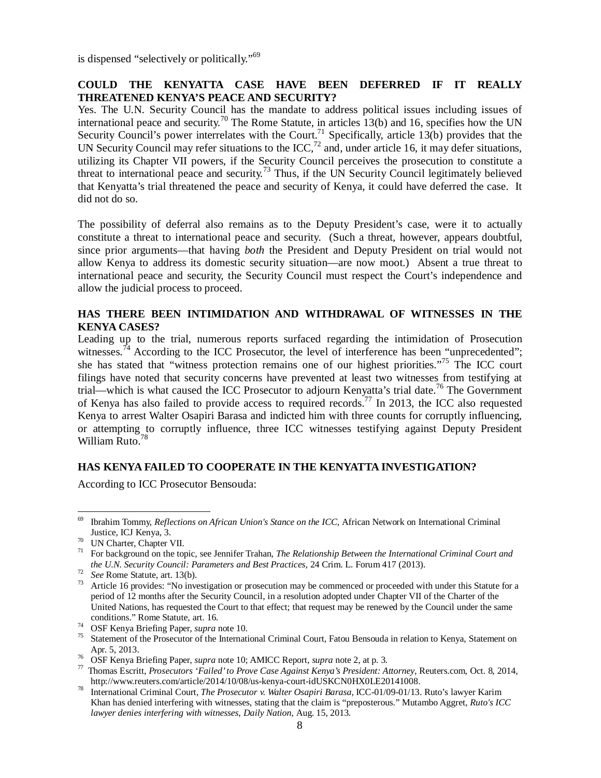is dispensed "selectively or politically."<sup>69</sup>

## **COULD THE KENYATTA CASE HAVE BEEN DEFERRED IF IT REALLY THREATENED KENYA'S PEACE AND SECURITY?**

Yes. The U.N. Security Council has the mandate to address political issues including issues of international peace and security.<sup>70</sup> The Rome Statute, in articles 13(b) and 16, specifies how the UN Security Council's power interrelates with the Court.<sup>71</sup> Specifically, article 13(b) provides that the UN Security Council may refer situations to the ICC,<sup>72</sup> and, under article 16, it may defer situations, utilizing its Chapter VII powers, if the Security Council perceives the prosecution to constitute a threat to international peace and security.<sup>73</sup> Thus, if the UN Security Council legitimately believed that Kenyatta's trial threatened the peace and security of Kenya, it could have deferred the case. It did not do so.

The possibility of deferral also remains as to the Deputy President's case, were it to actually constitute a threat to international peace and security. (Such a threat, however, appears doubtful, since prior arguments—that having *both* the President and Deputy President on trial would not allow Kenya to address its domestic security situation—are now moot.) Absent a true threat to international peace and security, the Security Council must respect the Court's independence and allow the judicial process to proceed.

## **HAS THERE BEEN INTIMIDATION AND WITHDRAWAL OF WITNESSES IN THE KENYA CASES?**

Leading up to the trial, numerous reports surfaced regarding the intimidation of Prosecution witnesses.<sup>74</sup> According to the ICC Prosecutor, the level of interference has been "unprecedented"; she has stated that "witness protection remains one of our highest priorities."<sup>75</sup> The ICC court filings have noted that security concerns have prevented at least two witnesses from testifying at trial—which is what caused the ICC Prosecutor to adjourn Kenyatta's trial date.<sup>76</sup> The Government of Kenya has also failed to provide access to required records.<sup>77</sup> In 2013, the ICC also requested Kenya to arrest Walter Osapiri Barasa and indicted him with three counts for corruptly influencing, or attempting to corruptly influence, three ICC witnesses testifying against Deputy President William Ruto.<sup>78</sup>

# **HAS KENYA FAILED TO COOPERATE IN THE KENYATTA INVESTIGATION?**

According to ICC Prosecutor Bensouda:

<sup>69</sup> <sup>69</sup> Ibrahim Tommy, *Reflections on African Union's Stance on the ICC,* African Network on International Criminal Justice, ICJ Kenya, 3.

 $^{70}$  UN Charter, Chapter VII.

<sup>71</sup> For background on the topic, see Jennifer Trahan, *The Relationship Between the International Criminal Court and the U.N. Security Council: Parameters and Best Practices*, 24 Crim. L. Forum 417 (2013).

<sup>72</sup> *See* Rome Statute, art. 13(b).

<sup>&</sup>lt;sup>73</sup> Article 16 provides: "No investigation or prosecution may be commenced or proceeded with under this Statute for a period of 12 months after the Security Council, in a resolution adopted under Chapter VII of the Charter of the United Nations, has requested the Court to that effect; that request may be renewed by the Council under the same conditions." Rome Statute, art. 16.

<sup>74</sup> OSF Kenya Briefing Paper, *supra* note 10.

<sup>&</sup>lt;sup>75</sup> Statement of the Prosecutor of the International Criminal Court, Fatou Bensouda in relation to Kenya, Statement on Apr. 5, 2013.

<sup>76</sup> OSF Kenya Briefing Paper, *supra* note 10; AMICC Report, *supra* note 2, at p. 3.

<sup>77</sup> Thomas Escritt, *Prosecutors 'Failed' to Prove Case Against Kenya's President: Attorney*, Reuters.com, Oct. 8, 2014, http://www.reuters.com/article/2014/10/08/us-kenya-court-idUSKCN0HX0LE20141008.

<sup>78</sup> International Criminal Court*, The Prosecutor v. Walter Osapiri Barasa,* ICC-01/09-01/13. Ruto's lawyer Karim Khan has denied interfering with witnesses, stating that the claim is "preposterous." Mutambo Aggret, *Ruto's ICC lawyer denies interfering with witnesses*, *Daily Nation,* Aug. 15, 2013.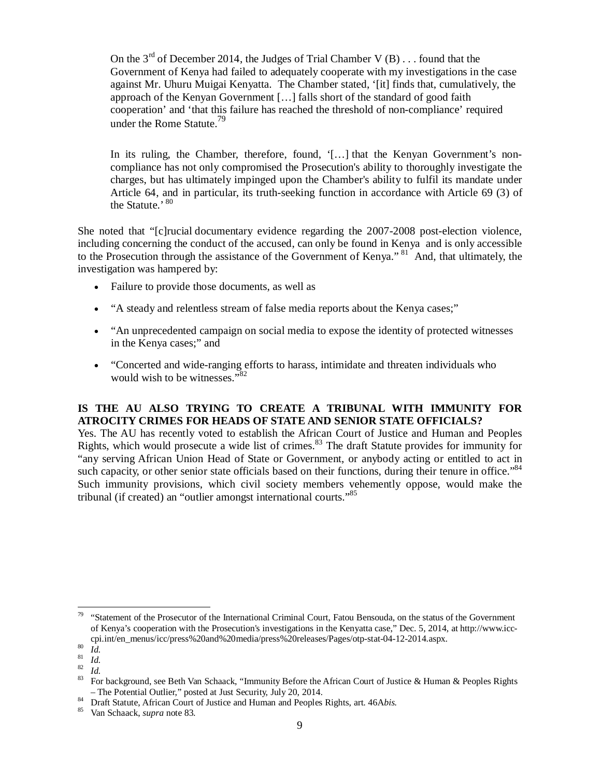On the  $3<sup>rd</sup>$  of December 2014, the Judges of Trial Chamber V (B) . . . found that the Government of Kenya had failed to adequately cooperate with my investigations in the case against Mr. Uhuru Muigai Kenyatta. The Chamber stated, '[it] finds that, cumulatively, the approach of the Kenyan Government […] falls short of the standard of good faith cooperation' and 'that this failure has reached the threshold of non-compliance' required under the Rome Statute.<sup>79</sup>

In its ruling, the Chamber, therefore, found, '[...] that the Kenyan Government's noncompliance has not only compromised the Prosecution's ability to thoroughly investigate the charges, but has ultimately impinged upon the Chamber's ability to fulfil its mandate under Article 64, and in particular, its truth-seeking function in accordance with Article 69 (3) of the Statute.' <sup>80</sup>

She noted that "[c]rucial documentary evidence regarding the 2007-2008 post-election violence, including concerning the conduct of the accused, can only be found in Kenya and is only accessible to the Prosecution through the assistance of the Government of Kenya."<sup>81</sup> And, that ultimately, the investigation was hampered by:

- Failure to provide those documents, as well as
- "A steady and relentless stream of false media reports about the Kenya cases;"
- "An unprecedented campaign on social media to expose the identity of protected witnesses in the Kenya cases;" and
- "Concerted and wide-ranging efforts to harass, intimidate and threaten individuals who would wish to be witnesses."<sup>82</sup>

# **IS THE AU ALSO TRYING TO CREATE A TRIBUNAL WITH IMMUNITY FOR ATROCITY CRIMES FOR HEADS OF STATE AND SENIOR STATE OFFICIALS?**

Yes. The AU has recently voted to establish the African Court of Justice and Human and Peoples Rights, which would prosecute a wide list of crimes.<sup>83</sup> The draft Statute provides for immunity for "any serving African Union Head of State or Government, or anybody acting or entitled to act in such capacity, or other senior state officials based on their functions, during their tenure in office."<sup>84</sup> Such immunity provisions, which civil society members vehemently oppose, would make the tribunal (if created) an "outlier amongst international courts."<sup>85</sup>

 $\overline{a}$  $79$  "Statement of the Prosecutor of the International Criminal Court, Fatou Bensouda, on the status of the Government of Kenya's cooperation with the Prosecution's investigations in the Kenyatta case," Dec. 5, 2014, at http://www.icccpi.int/en\_menus/icc/press%20and%20media/press%20releases/Pages/otp-stat-04-12-2014.aspx.

 $\begin{array}{c} 80 \ \hline 81 \ \hline 11 \ \hline \end{array}$ 

 $rac{81}{82}$  *Id.* 

 $rac{82}{83}$  *Id.* 

<sup>83</sup> For background, see Beth Van Schaack, "Immunity Before the African Court of Justice & Human & Peoples Rights – The Potential Outlier," posted at Just Security, July 20, 2014.

<sup>84</sup> Draft Statute, African Court of Justice and Human and Peoples Rights, art. 46A*bis.*

<sup>85</sup> Van Schaack, *supra* note 83.